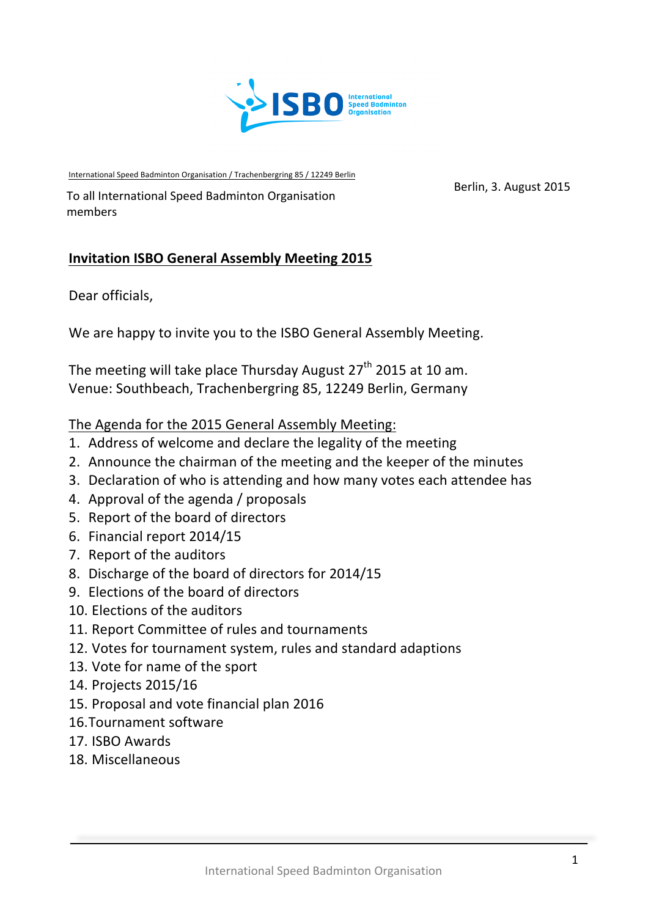

International Speed Badminton Organisation / Trachenbergring 85 / 12249 Berlin

Berlin, 3. August 2015<br>To all International Speed Badminton Organisation members

## **Invitation ISBO General Assembly Meeting 2015**

Dear officials,

We are happy to invite you to the ISBO General Assembly Meeting.

The meeting will take place Thursday August  $27<sup>th</sup>$  2015 at 10 am. Venue: Southbeach, Trachenbergring 85, 12249 Berlin, Germany

### The Agenda for the 2015 General Assembly Meeting:

- 1. Address of welcome and declare the legality of the meeting
- 2. Announce the chairman of the meeting and the keeper of the minutes
- 3. Declaration of who is attending and how many votes each attendee has
- 4. Approval of the agenda / proposals
- 5. Report of the board of directors
- 6. Financial report 2014/15
- 7. Report of the auditors
- 8. Discharge of the board of directors for 2014/15
- 9. Elections of the board of directors
- 10. Elections of the auditors
- 11. Report Committee of rules and tournaments
- 12. Votes for tournament system, rules and standard adaptions
- 13. Vote for name of the sport
- 14. Projects 2015/16
- 15. Proposal and vote financial plan 2016
- 16.Tournament software
- 17. ISBO Awards
- 18. Miscellaneous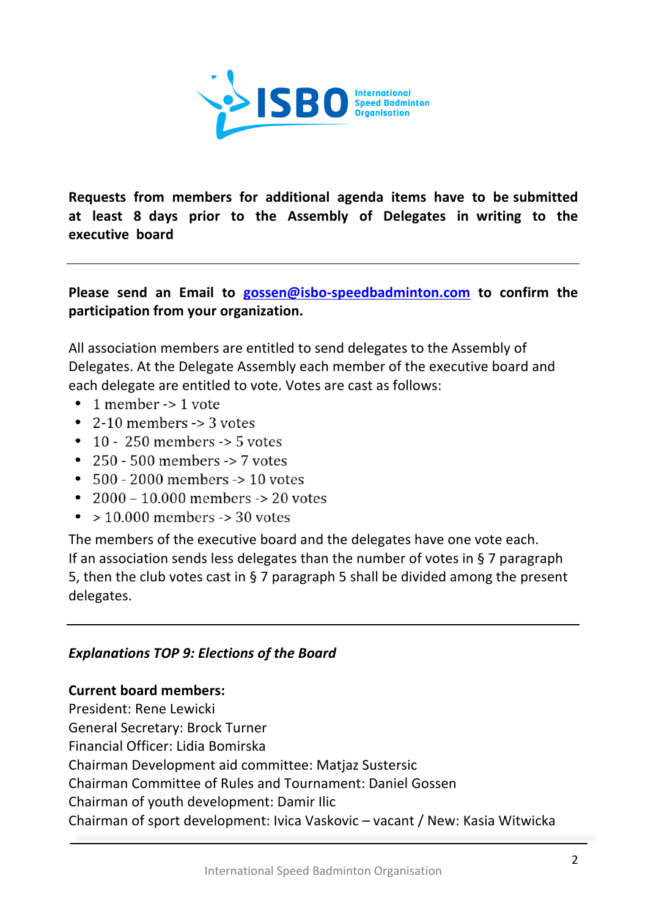

**Requests from members for additional agenda items have to be submitted at least 8 days prior to the Assembly of Delegates in writing to the executive board**

**Please** send an Email to **gossen@isbo-speedbadminton.com** to confirm the participation from your organization.

All association members are entitled to send delegates to the Assembly of Delegates. At the Delegate Assembly each member of the executive board and each delegate are entitled to vote. Votes are cast as follows:

- $\bullet$  1 member -> 1 vote
- 2-10 members  $\rightarrow$  3 votes
- $\cdot$  10 250 members -> 5 votes
- $\cdot$  250 500 members -> 7 votes
- $\cdot$  500 2000 members -> 10 votes
- $2000 10000$  members  $\ge 20$  votes
- $\bullet$  > 10.000 members -> 30 votes

The members of the executive board and the delegates have one vote each. If an association sends less delegates than the number of votes in § 7 paragraph 5, then the club votes cast in § 7 paragraph 5 shall be divided among the present delegates.

### **Explanations TOP 9: Elections of the Board**

**Current board members:** President: Rene Lewicki General Secretary: Brock Turner Financial Officer: Lidia Bomirska Chairman Development aid committee: Matjaz Sustersic Chairman Committee of Rules and Tournament: Daniel Gossen Chairman of youth development: Damir Ilic Chairman of sport development: Ivica Vaskovic – vacant / New: Kasia Witwicka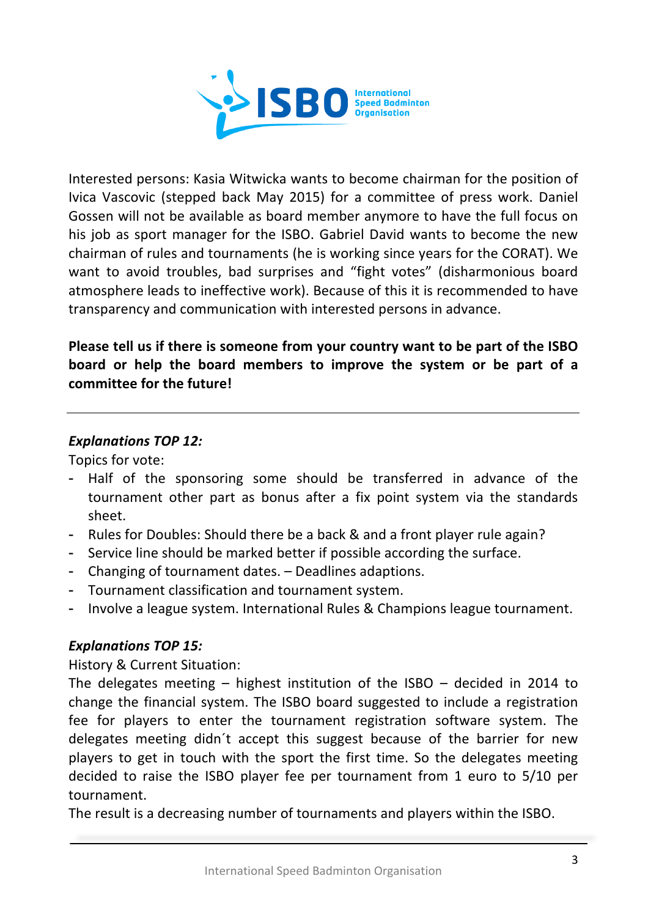

Interested persons: Kasia Witwicka wants to become chairman for the position of Ivica Vascovic (stepped back May 2015) for a committee of press work. Daniel Gossen will not be available as board member anymore to have the full focus on his job as sport manager for the ISBO. Gabriel David wants to become the new chairman of rules and tournaments (he is working since years for the CORAT). We want to avoid troubles, bad surprises and "fight votes" (disharmonious board atmosphere leads to ineffective work). Because of this it is recommended to have transparency and communication with interested persons in advance.

Please tell us if there is someone from your country want to be part of the ISBO board or help the board members to improve the system or be part of a **committee for the future!** 

### **Explanations TOP 12:**

Topics for vote:

- Half of the sponsoring some should be transferred in advance of the tournament other part as bonus after a fix point system via the standards sheet.
- Rules for Doubles: Should there be a back & and a front player rule again?
- Service line should be marked better if possible according the surface.
- Changing of tournament dates. Deadlines adaptions.
- Tournament classification and tournament system.
- Involve a league system. International Rules & Champions league tournament.

# **Explanations TOP 15:**

History & Current Situation:

The delegates meeting  $-$  highest institution of the ISBO  $-$  decided in 2014 to change the financial system. The ISBO board suggested to include a registration fee for players to enter the tournament registration software system. The delegates meeting didn't accept this suggest because of the barrier for new players to get in touch with the sport the first time. So the delegates meeting decided to raise the ISBO player fee per tournament from 1 euro to 5/10 per tournament. 

The result is a decreasing number of tournaments and players within the ISBO.